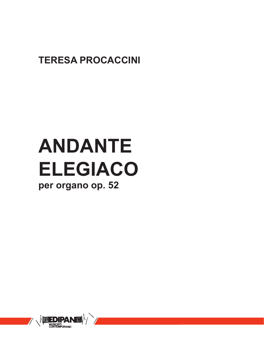### **TERESA PROCACCINI**

# **ANDANTE ELEGIACO**

#### **per organo op. 52**

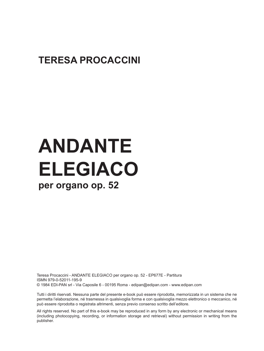#### **TERESA PROCACCINI**

## **ANDANTE ELEGIACO per organo op. 52**

Teresa Procaccini - ANDANTE ELEGIACO per organo op. 52 - EP677E - Partitura ISMN 979-0-52011-195-9 © 1984 EDI-PAN srl - Via Caposile 6 - 00195 Roma - edipan@edipan.com - www.edipan.com

Tutti i diritti riservati. Nessuna parte del presente e-book può essere riprodotta, memorizzata in un sistema che ne permetta l'elaborazione, né trasmessa in qualsivoglia forma e con qualsivoglia mezzo elettronico o meccanico, né può essere riprodotta o registrata altrimenti, senza previo consenso scritto dell'editore.

All rights reserved. No part of this e-book may be reproduced in any form by any electronic or mechanical means (including photocopying, recording, or information storage and retrieval) without permission in writing from the publisher.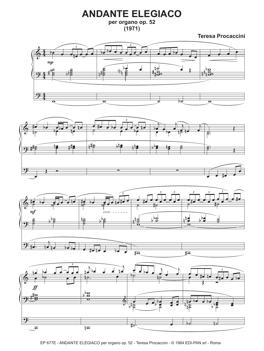#### **ANDANTE ELEGIACO**

**per organo op. 52 (1971)**

**Teresa Procaccini**